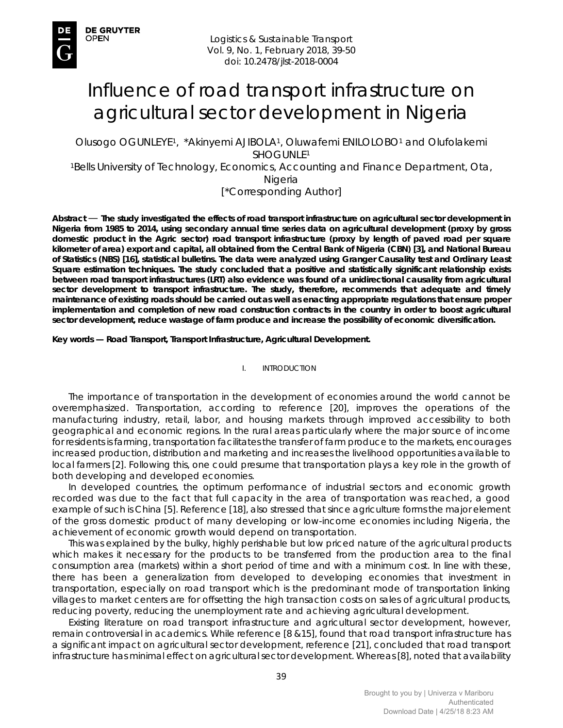# Influence of road transport infrastructure on agricultural sector development in Nigeria

Olusogo OGUNLEYE1, \*Akinyemi AJIBOLA1, Oluwafemi ENILOLOBO1 and Olufolakemi SHOGUNLE1

1Bells University of Technology, Economics, Accounting and Finance Department, Ota, Nigeria

[\*Corresponding Author]

*Abstract* — **The study investigated the effects of road transport infrastructure on agricultural sector development in Nigeria from 1985 to 2014, using secondary annual time series data on agricultural development (proxy by gross domestic product in the Agric sector) road transport infrastructure (proxy by length of paved road per square kilometer of area) export and capital, all obtained from the Central Bank of Nigeria (CBN) [3], and National Bureau of Statistics (NBS) [16], statistical bulletins. The data were analyzed using Granger Causality test and Ordinary Least Square estimation techniques. The study concluded that a positive and statistically significant relationship exists between road transport infrastructures (LRT) also evidence was found of a unidirectional causality from agricultural sector development to transport infrastructure. The study, therefore, recommends that adequate and timely maintenance of existing roads should be carried out as well as enacting appropriate regulations that ensure proper implementation and completion of new road construction contracts in the country in order to boost agricultural sector development, reduce wastage of farm produce and increase the possibility of economic diversification.** 

*Key words* **— Road Transport, Transport Infrastructure, Agricultural Development.** 

I. INTRODUCTION

The importance of transportation in the development of economies around the world cannot be overemphasized. Transportation, according to reference [20], improves the operations of the manufacturing industry, retail, labor, and housing markets through improved accessibility to both geographical and economic regions. In the rural areas particularly where the major source of income for residents is farming, transportation facilitates the transfer of farm produce to the markets, encourages increased production, distribution and marketing and increases the livelihood opportunities available to local farmers [2]. Following this, one could presume that transportation plays a key role in the growth of both developing and developed economies.

In developed countries, the optimum performance of industrial sectors and economic growth recorded was due to the fact that full capacity in the area of transportation was reached, a good example of such is China [5]. Reference [18], also stressed that since agriculture forms the major element of the gross domestic product of many developing or low-income economies including Nigeria, the achievement of economic growth would depend on transportation.

This was explained by the bulky, highly perishable but low priced nature of the agricultural products which makes it necessary for the products to be transferred from the production area to the final consumption area (markets) within a short period of time and with a minimum cost. In line with these, there has been a generalization from developed to developing economies that investment in transportation, especially on road transport which is the predominant mode of transportation linking villages to market centers are for offsetting the high transaction costs on sales of agricultural products, reducing poverty, reducing the unemployment rate and achieving agricultural development.

Existing literature on road transport infrastructure and agricultural sector development, however, remain controversial in academics. While reference [8 &15], found that road transport infrastructure has a significant impact on agricultural sector development, reference [21], concluded that road transport infrastructure has minimal effect on agricultural sector development. Whereas [8], noted that availability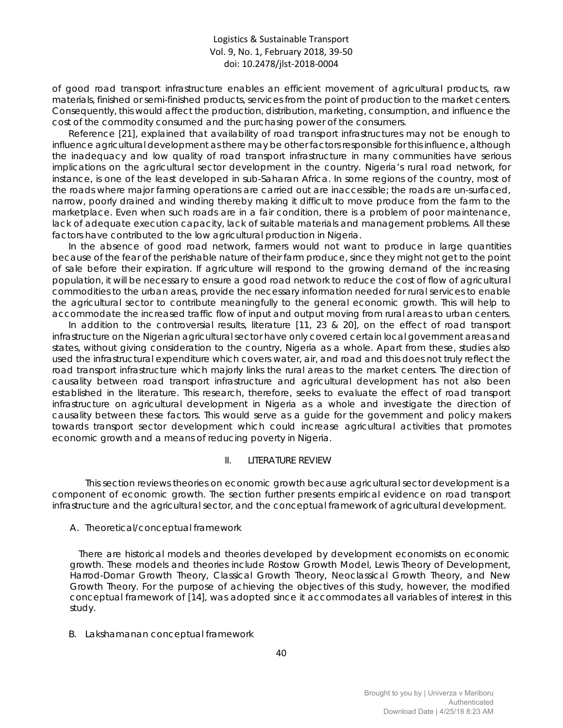of good road transport infrastructure enables an efficient movement of agricultural products, raw materials, finished or semi-finished products, services from the point of production to the market centers. Consequently, this would affect the production, distribution, marketing, consumption, and influence the cost of the commodity consumed and the purchasing power of the consumers.

Reference [21], explained that availability of road transport infrastructures may not be enough to influence agricultural development as there may be other factors responsible for this influence, although the inadequacy and low quality of road transport infrastructure in many communities have serious implications on the agricultural sector development in the country. Nigeria's rural road network, for instance, is one of the least developed in sub-Saharan Africa. In some regions of the country, most of the roads where major farming operations are carried out are inaccessible; the roads are un-surfaced, narrow, poorly drained and winding thereby making it difficult to move produce from the farm to the marketplace. Even when such roads are in a fair condition, there is a problem of poor maintenance, lack of adequate execution capacity, lack of suitable materials and management problems. All these factors have contributed to the low agricultural production in Nigeria.

In the absence of good road network, farmers would not want to produce in large quantities because of the fear of the perishable nature of their farm produce, since they might not get to the point of sale before their expiration. If agriculture will respond to the growing demand of the increasing population, it will be necessary to ensure a good road network to reduce the cost of flow of agricultural commodities to the urban areas, provide the necessary information needed for rural services to enable the agricultural sector to contribute meaningfully to the general economic growth. This will help to accommodate the increased traffic flow of input and output moving from rural areas to urban centers.

In addition to the controversial results, literature [11, 23 & 20], on the effect of road transport infrastructure on the Nigerian agricultural sector have only covered certain local government areas and states, without giving consideration to the country, Nigeria as a whole. Apart from these, studies also used the infrastructural expenditure which covers water, air, and road and this does not truly reflect the road transport infrastructure which majorly links the rural areas to the market centers. The direction of causality between road transport infrastructure and agricultural development has not also been established in the literature. This research, therefore, seeks to evaluate the effect of road transport infrastructure on agricultural development in Nigeria as a whole and investigate the direction of causality between these factors. This would serve as a guide for the government and policy makers towards transport sector development which could increase agricultural activities that promotes economic growth and a means of reducing poverty in Nigeria.

#### II. LITERATURE REVIEW

This section reviews theories on economic growth because agricultural sector development is a component of economic growth. The section further presents empirical evidence on road transport infrastructure and the agricultural sector, and the conceptual framework of agricultural development.

## *A. Theoretical/conceptual framework*

There are historical models and theories developed by development economists on economic growth. These models and theories include Rostow Growth Model, Lewis Theory of Development, Harrod-Domar Growth Theory, Classical Growth Theory, Neoclassical Growth Theory, and New Growth Theory. For the purpose of achieving the objectives of this study, however, the modified conceptual framework of [14], was adopted since it accommodates all variables of interest in this study.

## *B. Lakshamanan conceptual framework*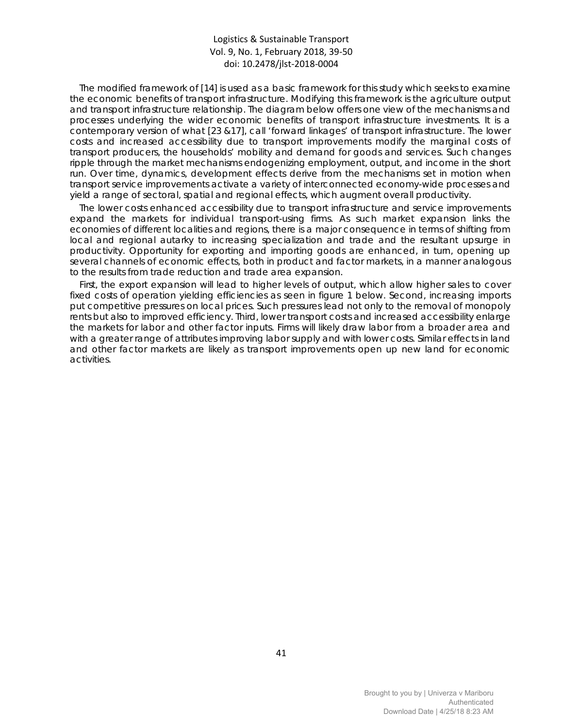The modified framework of [14] is used as a basic framework for this study which seeks to examine the economic benefits of transport infrastructure. Modifying this framework is the agriculture output and transport infrastructure relationship. The diagram below offers one view of the mechanisms and processes underlying the wider economic benefits of transport infrastructure investments. It is a contemporary version of what [23 &17], call 'forward linkages' of transport infrastructure. The lower costs and increased accessibility due to transport improvements modify the marginal costs of transport producers, the households' mobility and demand for goods and services. Such changes ripple through the market mechanisms endogenizing employment, output, and income in the short run. Over time, dynamics, development effects derive from the mechanisms set in motion when transport service improvements activate a variety of interconnected economy-wide processes and yield a range of sectoral, spatial and regional effects, which augment overall productivity.

The lower costs enhanced accessibility due to transport infrastructure and service improvements expand the markets for individual transport-using firms. As such market expansion links the economies of different localities and regions, there is a major consequence in terms of shifting from local and regional autarky to increasing specialization and trade and the resultant upsurge in productivity. Opportunity for exporting and importing goods are enhanced, in turn, opening up several channels of economic effects, both in product and factor markets, in a manner analogous to the results from trade reduction and trade area expansion.

First, the export expansion will lead to higher levels of output, which allow higher sales to cover fixed costs of operation yielding efficiencies as seen in figure 1 below. Second, increasing imports put competitive pressures on local prices. Such pressures lead not only to the removal of monopoly rents but also to improved efficiency. Third, lower transport costs and increased accessibility enlarge the markets for labor and other factor inputs. Firms will likely draw labor from a broader area and with a greater range of attributes improving labor supply and with lower costs. Similar effects in land and other factor markets are likely as transport improvements open up new land for economic activities.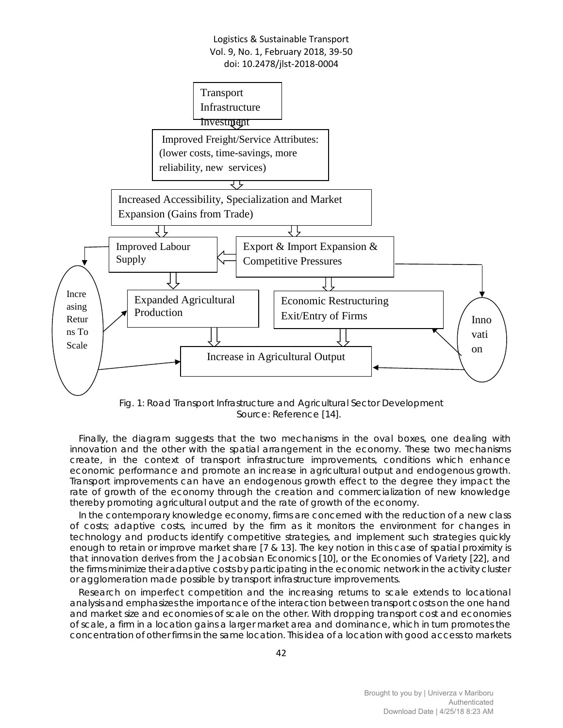

Fig. 1: Road Transport Infrastructure and Agricultural Sector Development Source: Reference [14].

Finally, the diagram suggests that the two mechanisms in the oval boxes, one dealing with innovation and the other with the spatial arrangement in the economy. These two mechanisms create, in the context of transport infrastructure improvements, conditions which enhance economic performance and promote an increase in agricultural output and endogenous growth. Transport improvements can have an endogenous growth effect to the degree they impact the rate of growth of the economy through the creation and commercialization of new knowledge thereby promoting agricultural output and the rate of growth of the economy.

In the contemporary knowledge economy, firms are concerned with the reduction of a new class of costs; adaptive costs, incurred by the firm as it monitors the environment for changes in technology and products identify competitive strategies, and implement such strategies quickly enough to retain or improve market share [7 & 13]. The key notion in this case of spatial proximity is that innovation derives from the Jacobsian Economics [10], or the Economies of Variety [22], and the firms minimize their adaptive costs by participating in the economic network in the activity cluster or agglomeration made possible by transport infrastructure improvements.

Research on imperfect competition and the increasing returns to scale extends to locational analysis and emphasizes the importance of the interaction between transport costs on the one hand and market size and economies of scale on the other. With dropping transport cost and economies of scale, a firm in a location gains a larger market area and dominance, which in turn promotes the concentration of other firms in the same location. This idea of a location with good access to markets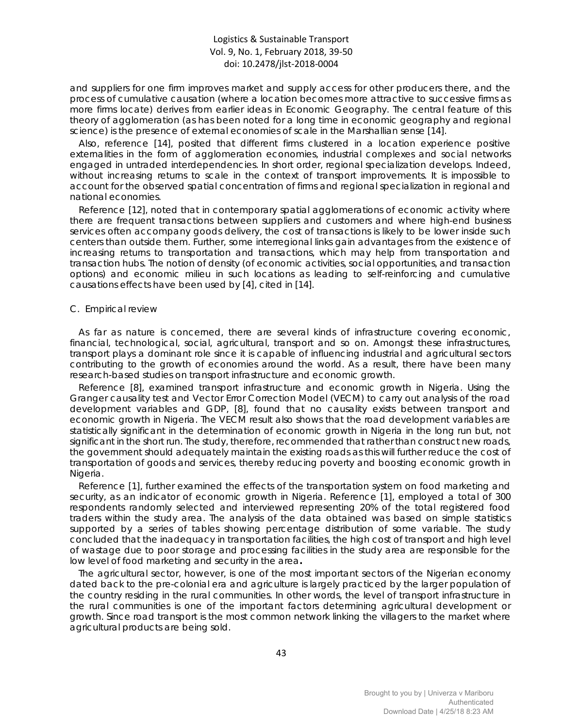and suppliers for one firm improves market and supply access for other producers there, and the process of cumulative causation (where a location becomes more attractive to successive firms as more firms locate) derives from earlier ideas in Economic Geography. The central feature of this theory of agglomeration (as has been noted for a long time in economic geography and regional science) is the presence of external economies of scale in the Marshallian sense [14].

Also, reference [14], posited that different firms clustered in a location experience positive externalities in the form of agglomeration economies, industrial complexes and social networks engaged in untraded interdependencies. In short order, regional specialization develops. Indeed, without increasing returns to scale in the context of transport improvements. It is impossible to account for the observed spatial concentration of firms and regional specialization in regional and national economies.

Reference [12], noted that in contemporary spatial agglomerations of economic activity where there are frequent transactions between suppliers and customers and where high-end business services often accompany goods delivery, the cost of transactions is likely to be lower inside such centers than outside them. Further, some interregional links gain advantages from the existence of increasing returns to transportation and transactions, which may help from transportation and transaction hubs. The notion of density (of economic activities, social opportunities, and transaction options) and economic milieu in such locations as leading to self-reinforcing and cumulative causations effects have been used by [4], cited in [14].

#### *C. Empirical review*

As far as nature is concerned, there are several kinds of infrastructure covering economic, financial, technological, social, agricultural, transport and so on. Amongst these infrastructures, transport plays a dominant role since it is capable of influencing industrial and agricultural sectors contributing to the growth of economies around the world. As a result, there have been many research-based studies on transport infrastructure and economic growth.

Reference [8], examined transport infrastructure and economic growth in Nigeria. Using the Granger causality test and Vector Error Correction Model (VECM) to carry out analysis of the road development variables and GDP, [8], found that no causality exists between transport and economic growth in Nigeria. The VECM result also shows that the road development variables are statistically significant in the determination of economic growth in Nigeria in the long run but, not significant in the short run. The study, therefore, recommended that rather than construct new roads, the government should adequately maintain the existing roads as this will further reduce the cost of transportation of goods and services, thereby reducing poverty and boosting economic growth in Nigeria.

Reference [1], further examined the effects of the transportation system on food marketing and security, as an indicator of economic growth in Nigeria. Reference [1], employed a total of 300 respondents randomly selected and interviewed representing 20% of the total registered food traders within the study area. The analysis of the data obtained was based on simple statistics supported by a series of tables showing percentage distribution of some variable. The study concluded that the inadequacy in transportation facilities, the high cost of transport and high level of wastage due to poor storage and processing facilities in the study area are responsible for the low level of food marketing and security in the area**.**

The agricultural sector, however, is one of the most important sectors of the Nigerian economy dated back to the pre-colonial era and agriculture is largely practiced by the larger population of the country residing in the rural communities. In other words, the level of transport infrastructure in the rural communities is one of the important factors determining agricultural development or growth. Since road transport is the most common network linking the villagers to the market where agricultural products are being sold.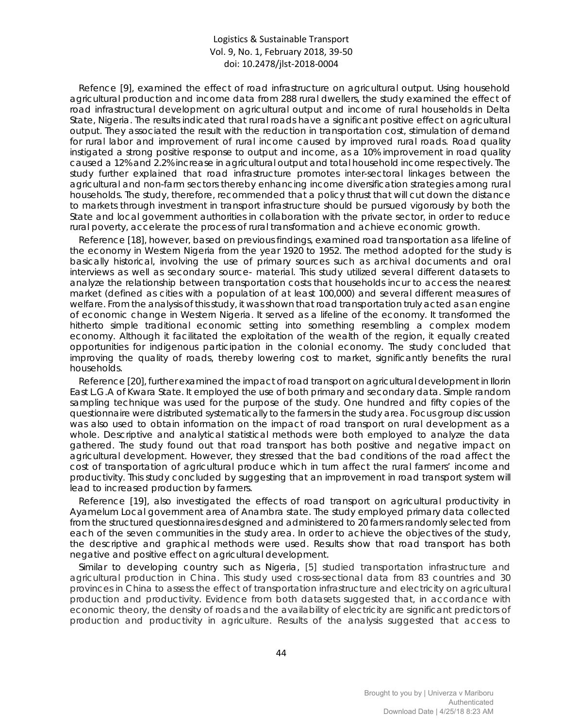Refence [9], examined the effect of road infrastructure on agricultural output. Using household agricultural production and income data from 288 rural dwellers, the study examined the effect of road infrastructural development on agricultural output and income of rural households in Delta State, Nigeria. The results indicated that rural roads have a significant positive effect on agricultural output. They associated the result with the reduction in transportation cost, stimulation of demand for rural labor and improvement of rural income caused by improved rural roads. Road quality instigated a strong positive response to output and income, as a 10% improvement in road quality caused a 12% and 2.2% increase in agricultural output and total household income respectively. The study further explained that road infrastructure promotes inter-sectoral linkages between the agricultural and non-farm sectors thereby enhancing income diversification strategies among rural households. The study, therefore, recommended that a policy thrust that will cut down the distance to markets through investment in transport infrastructure should be pursued vigorously by both the State and local government authorities in collaboration with the private sector, in order to reduce rural poverty, accelerate the process of rural transformation and achieve economic growth.

Reference [18], however, based on previous findings, examined road transportation as a lifeline of the economy in Western Nigeria from the year 1920 to 1952. The method adopted for the study is basically historical, involving the use of primary sources such as archival documents and oral interviews as well as secondary source- material. This study utilized several different datasets to analyze the relationship between transportation costs that households incur to access the nearest market (defined as cities with a population of at least 100,000) and several different measures of welfare. From the analysis of this study, it was shown that road transportation truly acted as an engine of economic change in Western Nigeria. It served as a lifeline of the economy. It transformed the hitherto simple traditional economic setting into something resembling a complex modern economy. Although it facilitated the exploitation of the wealth of the region, it equally created opportunities for indigenous participation in the colonial economy. The study concluded that improving the quality of roads, thereby lowering cost to market, significantly benefits the rural households.

Reference [20], further examined the impact of road transport on agricultural development in Ilorin East L.G.A of Kwara State. It employed the use of both primary and secondary data. Simple random sampling technique was used for the purpose of the study. One hundred and fifty copies of the questionnaire were distributed systematically to the farmers in the study area. Focus group discussion was also used to obtain information on the impact of road transport on rural development as a whole. Descriptive and analytical statistical methods were both employed to analyze the data gathered. The study found out that road transport has both positive and negative impact on agricultural development. However, they stressed that the bad conditions of the road affect the cost of transportation of agricultural produce which in turn affect the rural farmers' income and productivity. This study concluded by suggesting that an improvement in road transport system will lead to increased production by farmers.

Reference [19], also investigated the effects of road transport on agricultural productivity in Ayamelum Local government area of Anambra state. The study employed primary data collected from the structured questionnaires designed and administered to 20 farmers randomly selected from each of the seven communities in the study area. In order to achieve the objectives of the study, the descriptive and graphical methods were used. Results show that road transport has both negative and positive effect on agricultural development.

Similar to developing country such as Nigeria, [5] studied transportation infrastructure and agricultural production in China. This study used cross-sectional data from 83 countries and 30 provinces in China to assess the effect of transportation infrastructure and electricity on agricultural production and productivity. Evidence from both datasets suggested that, in accordance with economic theory, the density of roads and the availability of electricity are significant predictors of production and productivity in agriculture. Results of the analysis suggested that access to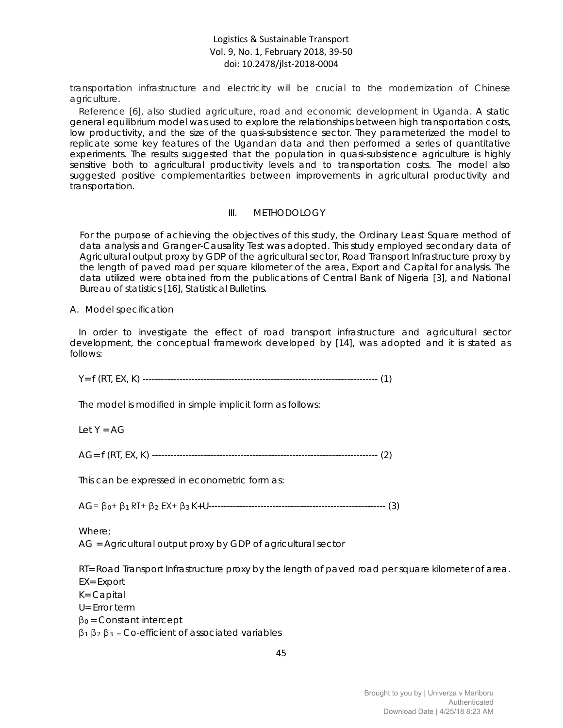transportation infrastructure and electricity will be crucial to the modernization of Chinese agriculture.

Reference [6], also studied agriculture, road and economic development in Uganda. A static general equilibrium model was used to explore the relationships between high transportation costs, low productivity, and the size of the quasi-subsistence sector. They parameterized the model to replicate some key features of the Ugandan data and then performed a series of quantitative experiments. The results suggested that the population in quasi-subsistence agriculture is highly sensitive both to agricultural productivity levels and to transportation costs. The model also suggested positive complementarities between improvements in agricultural productivity and transportation.

#### III. METHODOLOGY

For the purpose of achieving the objectives of this study, the Ordinary Least Square method of data analysis and Granger-Causality Test was adopted. This study employed secondary data of Agricultural output proxy by GDP of the agricultural sector, Road Transport Infrastructure proxy by the length of paved road per square kilometer of the area, Export and Capital for analysis. The data utilized were obtained from the publications of Central Bank of Nigeria [3], and National Bureau of statistics [16], Statistical Bulletins.

#### *A. Model specification*

In order to investigate the effect of road transport infrastructure and agricultural sector development, the conceptual framework developed by [14], was adopted and it is stated as follows:

Y= f (RT, EX, K) ----------------------------------------------------------------------------- (1)

The model is modified in simple implicit form as follows:

Let  $Y = AG$ 

AG= f (RT, EX, K) -------------------------------------------------------------------------- (2)

This can be expressed in econometric form as:

AG= β0+ β1 RT+ β<sup>2</sup> EX+ β3 K+U---------------------------------------------------------- (3)

Where;

AG = Agricultural output proxy by GDP of agricultural sector

RT= Road Transport Infrastructure proxy by the length of paved road per square kilometer of area.

EX= Export

K= Capital

U= Error term

 $β<sub>0</sub> = Constant intercept$ 

 $β_1 β_2 β_3 = Co\text{-efficient of associated variables}$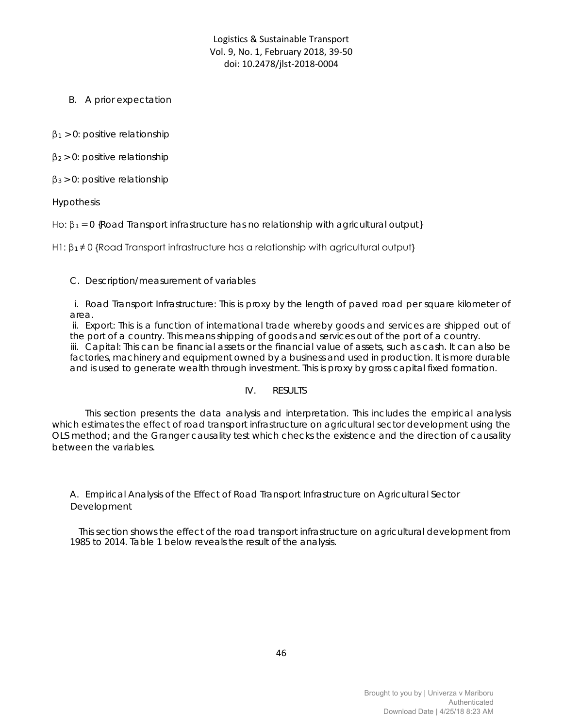*B. A prior expectation*

 $β<sub>1</sub> > 0$ : positive relationship

 $\beta_2 > 0$ : positive relationship

 $β<sub>3</sub> > 0$ : positive relationship

Hypothesis

Ho:  $\beta_1 = 0$  {Road Transport infrastructure has no relationship with agricultural output}

H1:  $\beta_1 \neq 0$  {Road Transport infrastructure has a relationship with agricultural output}

#### *C. Description/measurement of variables*

i. Road Transport Infrastructure: This is proxy by the length of paved road per square kilometer of area.

ii. Export: This is a function of international trade whereby goods and services are shipped out of the port of a country. This means shipping of goods and services out of the port of a country. iii. Capital: This can be financial assets or the financial value of assets, such as cash. It can also be factories, machinery and equipment owned by a business and used in production. It is more durable and is used to generate wealth through investment. This is proxy by gross capital fixed formation.

## IV. RESULTS

This section presents the data analysis and interpretation. This includes the empirical analysis which estimates the effect of road transport infrastructure on agricultural sector development using the OLS method; and the Granger causality test which checks the existence and the direction of causality between the variables.

## *A. Empirical Analysis of the Effect of Road Transport Infrastructure on Agricultural Sector Development*

This section shows the effect of the road transport infrastructure on agricultural development from 1985 to 2014. Table 1 below reveals the result of the analysis.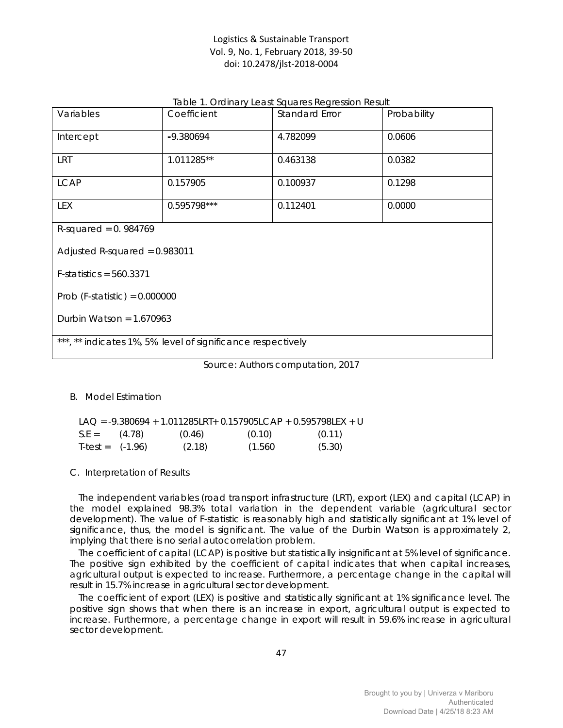|  |  | Table 1. Ordinary Least Squares Regression Result |
|--|--|---------------------------------------------------|
|--|--|---------------------------------------------------|

| Variables                                                   | Coefficient | Standard Error | Probability |  |  |  |
|-------------------------------------------------------------|-------------|----------------|-------------|--|--|--|
| Intercept                                                   | -9.380694   | 4.782099       | 0.0606      |  |  |  |
| <b>LRT</b>                                                  | 1.011285**  | 0.463138       | 0.0382      |  |  |  |
| <b>LCAP</b>                                                 | 0.157905    | 0.100937       | 0.1298      |  |  |  |
| LEX                                                         | 0.595798*** | 0.112401       | 0.0000      |  |  |  |
| R-squared = $0.984769$                                      |             |                |             |  |  |  |
| Adjusted R-squared = $0.983011$                             |             |                |             |  |  |  |
| $F-statistics = 560.3371$                                   |             |                |             |  |  |  |
| Prob (F-statistic) = $0.000000$                             |             |                |             |  |  |  |
| Durbin Watson = $1.670963$                                  |             |                |             |  |  |  |
| ***, ** indicates 1%, 5% level of significance respectively |             |                |             |  |  |  |

Source: Authors computation, 2017

## *B. Model Estimation*

|                    |        |         | LAO = $-9.380694 + 1.011285LRT + 0.157905LCAP + 0.595798LEX + U$ |
|--------------------|--------|---------|------------------------------------------------------------------|
| $S.E = (4.78)$     | (0.46) | (0.10)  | (0.11)                                                           |
| $T-test = (-1.96)$ | (2.18) | (1.560) | (5.30)                                                           |

## *C. Interpretation of Results*

The independent variables (road transport infrastructure (LRT), export (LEX) and capital (LCAP) in the model explained 98.3% total variation in the dependent variable (agricultural sector development). The value of F-statistic is reasonably high and statistically significant at 1% level of significance, thus, the model is significant. The value of the Durbin Watson is approximately 2, implying that there is no serial autocorrelation problem.

The coefficient of capital (LCAP) is positive but statistically insignificant at 5% level of significance. The positive sign exhibited by the coefficient of capital indicates that when capital increases, agricultural output is expected to increase. Furthermore, a percentage change in the capital will result in 15.7% increase in agricultural sector development.

The coefficient of export (LEX) is positive and statistically significant at 1% significance level. The positive sign shows that when there is an increase in export, agricultural output is expected to increase. Furthermore, a percentage change in export will result in 59.6% increase in agricultural sector development.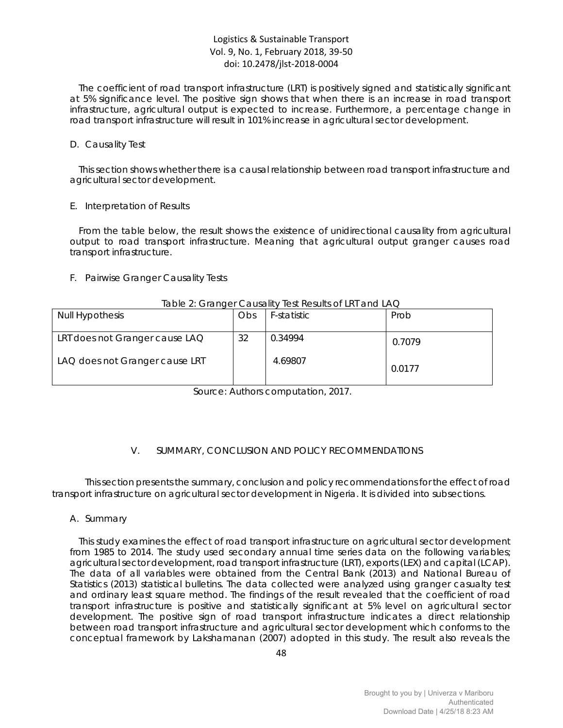The coefficient of road transport infrastructure (LRT) is positively signed and statistically significant at 5% significance level. The positive sign shows that when there is an increase in road transport infrastructure, agricultural output is expected to increase. Furthermore, a percentage change in road transport infrastructure will result in 101% increase in agricultural sector development.

#### *D. Causality Test*

This section shows whether there is a causal relationship between road transport infrastructure and agricultural sector development.

#### *E. Interpretation of Results*

From the table below, the result shows the existence of unidirectional causality from agricultural output to road transport infrastructure. Meaning that agricultural output granger causes road transport infrastructure.

## *F. Pairwise Granger Causality Tests*

#### Table 2: Granger Causality Test Results of LRT and LAQ

| <b>Null Hypothesis</b>         | Obs | F-statistic | Prob   |
|--------------------------------|-----|-------------|--------|
| LRT does not Granger cause LAQ | 32  | 0.34994     | 0.7079 |
| LAQ does not Granger cause LRT |     | 4.69807     | 0.0177 |

Source: Authors computation, 2017.

# V. SUMMARY, CONCLUSION AND POLICY RECOMMENDATIONS

This section presents the summary, conclusion and policy recommendations for the effect of road transport infrastructure on agricultural sector development in Nigeria. It is divided into subsections.

## *A. Summary*

This study examines the effect of road transport infrastructure on agricultural sector development from 1985 to 2014. The study used secondary annual time series data on the following variables; agricultural sector development, road transport infrastructure (LRT), exports (LEX) and capital (LCAP). The data of all variables were obtained from the Central Bank (2013) and National Bureau of Statistics (2013) statistical bulletins. The data collected were analyzed using granger casualty test and ordinary least square method. The findings of the result revealed that the coefficient of road transport infrastructure is positive and statistically significant at 5% level on agricultural sector development. The positive sign of road transport infrastructure indicates a direct relationship between road transport infrastructure and agricultural sector development which conforms to the conceptual framework by Lakshamanan (2007) adopted in this study. The result also reveals the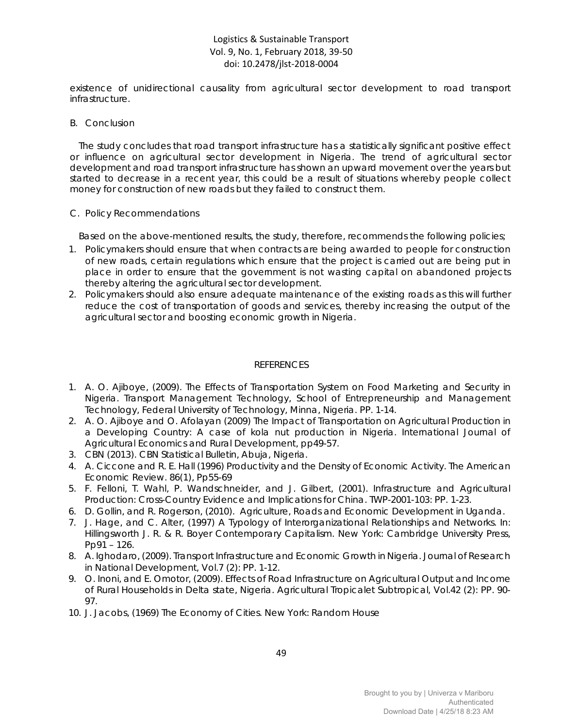existence of unidirectional causality from agricultural sector development to road transport infrastructure.

## *B. Conclusion*

The study concludes that road transport infrastructure has a statistically significant positive effect or influence on agricultural sector development in Nigeria. The trend of agricultural sector development and road transport infrastructure has shown an upward movement over the years but started to decrease in a recent year, this could be a result of situations whereby people collect money for construction of new roads but they failed to construct them.

#### *C. Policy Recommendations*

Based on the above-mentioned results, the study, therefore, recommends the following policies;

- 1. Policymakers should ensure that when contracts are being awarded to people for construction of new roads, certain regulations which ensure that the project is carried out are being put in place in order to ensure that the government is not wasting capital on abandoned projects thereby altering the agricultural sector development.
- 2. Policymakers should also ensure adequate maintenance of the existing roads as this will further reduce the cost of transportation of goods and services, thereby increasing the output of the agricultural sector and boosting economic growth in Nigeria.

## **REFERENCES**

- 1. A. O. Ajiboye, (2009). The Effects of Transportation System on Food Marketing and Security in Nigeria. *Transport Management Technology, School of Entrepreneurship and Management Technology, Federal University of Technology, Minna, Nigeria.* PP. 1-14.
- 2. A. O. Ajiboye and O. Afolayan (2009) The Impact of Transportation on Agricultural Production in a Developing Country: A case of kola nut production in Nigeria. *International Journal of Agricultural Economics and Rural Development*, pp49-57.
- *3.* CBN (2013). CBN Statistical Bulletin, *Abuja, Nigeria.*
- *4.* A. Ciccone and R. E. Hall (1996) Productivity and the Density of Economic Activity. The American Economic Review. 86(1), Pp55-69
- 5. F. Felloni, T. Wahl, P. Wandschneider, and J. Gilbert, (2001). Infrastructure and Agricultural Production: Cross-Country Evidence and Implications for China. *TWP-2001-103*: PP. 1-23.
- 6. D. Gollin, and R. Rogerson, (2010). Agriculture, Roads and Economic Development in Uganda.
- 7. J. Hage, and C. Alter, (1997) A Typology of Interorganizational Relationships and Networks. In: Hillingsworth J. R. & R. Boyer Contemporary Capitalism. New York: Cambridge University Press, Pp91 – 126.
- 8. A. Ighodaro, (2009). Transport Infrastructure and Economic Growth in Nigeria. *Journal of Research in National Development,* Vol.7 (2): PP. 1-12.
- 9. O. Inoni, and E. Omotor, (2009). Effects of Road Infrastructure on Agricultural Output and Income of Rural Households in Delta state, Nigeria. *Agricultural Tropicalet Subtropical,* Vol.42 (2): PP. 90- 97.
- 10. J. Jacobs, (1969) The Economy of Cities. New York: Random House